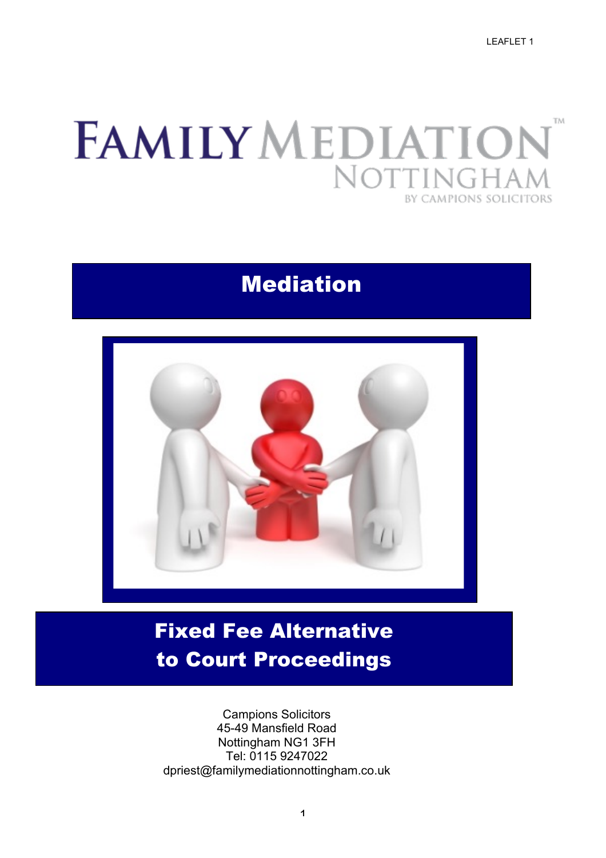LEAFLET 1

### FAMILY MEDIATIO. TM No<sup>®</sup> TIN BY CAMPIONS SOLICITORS

## Mediation



# Fixed Fee Alternative to Court Proceedings

Campions Solicitors 45-49 Mansfield Road Nottingham NG1 3FH Tel: 0115 9247022 dpriest@familymediationnottingham.co.uk

1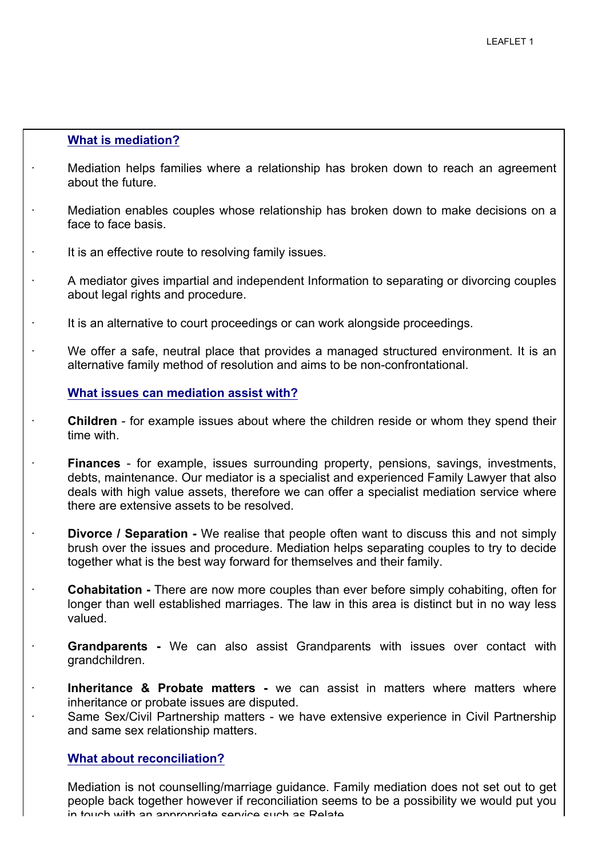#### **What is mediation?**

- · Mediation helps families where a relationship has broken down to reach an agreement about the future.
- · Mediation enables couples whose relationship has broken down to make decisions on a face to face basis.
	- It is an effective route to resolving family issues.
- · A mediator gives impartial and independent Information to separating or divorcing couples about legal rights and procedure.
- · It is an alternative to court proceedings or can work alongside proceedings.
- · We offer a safe, neutral place that provides a managed structured environment. It is an alternative family method of resolution and aims to be non-confrontational.

#### **What issues can mediation assist with?**

- **Children** for example issues about where the children reside or whom they spend their time with.
- · **Finances**  for example, issues surrounding property, pensions, savings, investments, debts, maintenance. Our mediator is a specialist and experienced Family Lawyer that also deals with high value assets, therefore we can offer a specialist mediation service where there are extensive assets to be resolved.
	- **Divorce / Separation -** We realise that people often want to discuss this and not simply brush over the issues and procedure. Mediation helps separating couples to try to decide together what is the best way forward for themselves and their family.
	- · **Cohabitation -** There are now more couples than ever before simply cohabiting, often for longer than well established marriages. The law in this area is distinct but in no way less valued.
- · **Grandparents -** We can also assist Grandparents with issues over contact with grandchildren.
- · **Inheritance & Probate matters -** we can assist in matters where matters where inheritance or probate issues are disputed.
	- Same Sex/Civil Partnership matters we have extensive experience in Civil Partnership and same sex relationship matters.

#### **What about reconciliation?**

2 in touch with an appropriate service such as Relate. Mediation is not counselling/marriage guidance. Family mediation does not set out to get people back together however if reconciliation seems to be a possibility we would put you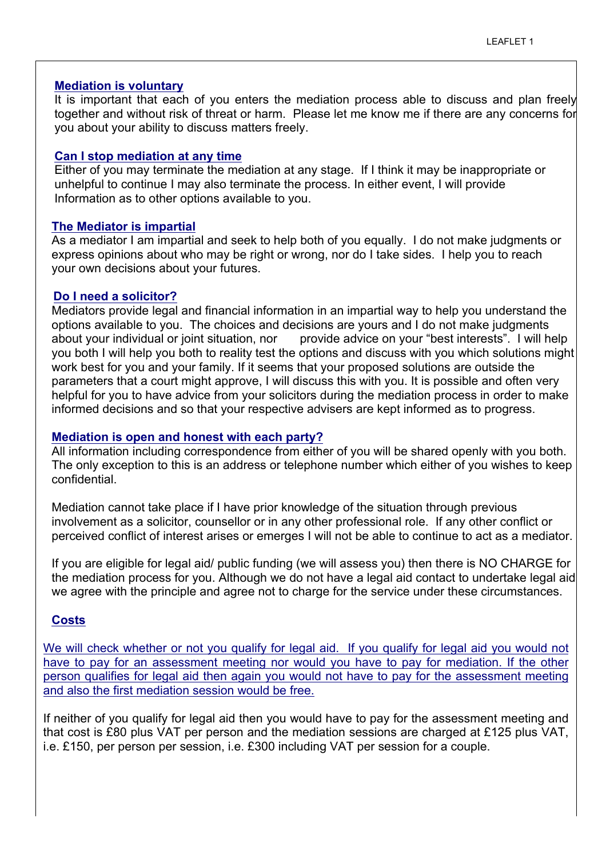#### **Mediation is voluntary**

It is important that each of you enters the mediation process able to discuss and plan freely together and without risk of threat or harm. Please let me know me if there are any concerns for you about your ability to discuss matters freely.

#### **Can I stop mediation at any time**

Either of you may terminate the mediation at any stage. If I think it may be inappropriate or unhelpful to continue I may also terminate the process. In either event, I will provide Information as to other options available to you.

#### **The Mediator is impartial**

As a mediator I am impartial and seek to help both of you equally. I do not make judgments or express opinions about who may be right or wrong, nor do I take sides. I help you to reach your own decisions about your futures.

#### **Do I need a solicitor?**

Mediators provide legal and financial information in an impartial way to help you understand the options available to you. The choices and decisions are yours and I do not make judgments about your individual or joint situation, nor provide advice on your "best interests". I will help you both I will help you both to reality test the options and discuss with you which solutions might work best for you and your family. If it seems that your proposed solutions are outside the parameters that a court might approve, I will discuss this with you. It is possible and often very helpful for you to have advice from your solicitors during the mediation process in order to make informed decisions and so that your respective advisers are kept informed as to progress.

#### **Mediation is open and honest with each party?**

All information including correspondence from either of you will be shared openly with you both. The only exception to this is an address or telephone number which either of you wishes to keep confidential.

Mediation cannot take place if I have prior knowledge of the situation through previous involvement as a solicitor, counsellor or in any other professional role. If any other conflict or perceived conflict of interest arises or emerges I will not be able to continue to act as a mediator.

If you are eligible for legal aid/ public funding (we will assess you) then there is NO CHARGE for the mediation process for you. Although we do not have a legal aid contact to undertake legal aid we agree with the principle and agree not to charge for the service under these circumstances.

#### **Costs**

We will check whether or not you qualify for legal aid. If you qualify for legal aid you would not have to pay for an assessment meeting nor would you have to pay for mediation. If the other person qualifies for legal aid then again you would not have to pay for the assessment meeting and also the first mediation session would be free.

If neither of you qualify for legal aid then you would have to pay for the assessment meeting and that cost is £80 plus VAT per person and the mediation sessions are charged at £125 plus VAT, i.e. £150, per person per session, i.e. £300 including VAT per session for a couple.